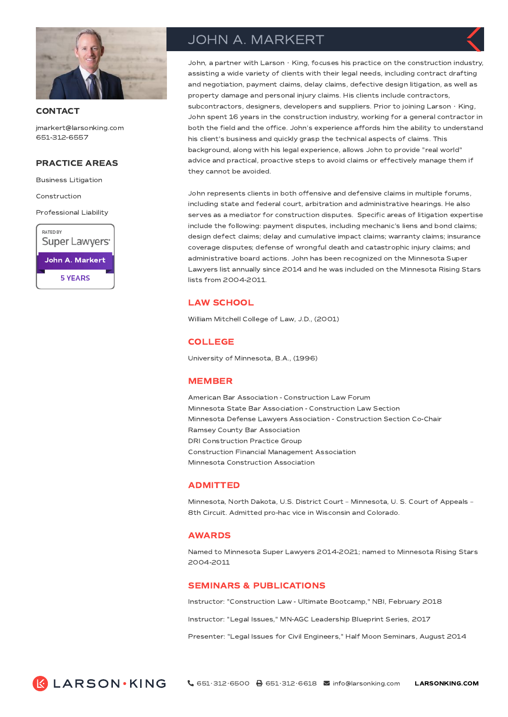

### **CONTACT**

jmarkert@larsonking.com 651-312-6557

# PRACTICE AREAS

Business Litigation

Construction

Professional Liability



# JOHN A. MARKERT

John, a partner with Larson  $\cdot$  King, focuses his practice on the construction industry, assisting a wide variety of clients with their legal needs, including contract drafting and negotiation, payment claims, delay claims, defective design litigation, as well as property damage and personal injury claims. His clients include contractors, subcontractors, designers, developers and suppliers. Prior to joining Larson  $\cdot$  King, John spent 16 years in the construction industry, working for a general contractor in both the field and the office. John's experience affords him the ability to understand his client's business and quickly grasp the technical aspects of claims. This background, along with his legal experience, allows John to provide "real world" advice and practical, proactive steps to avoid claims or effectively manage them if they cannot be avoided.

John represents clients in both offensive and defensive claims in multiple forums, including state and federal court, arbitration and administrative hearings. He also serves as a mediator for construction disputes. Specific areas of litigation expertise include the following: payment disputes, including mechanic's liens and bond claims; design defect claims; delay and cumulative impact claims; warranty claims; insurance coverage disputes; defense of wrongful death and catastrophic injury claims; and administrative board actions. John has been recognized on the Minnesota Super Lawyers list annually since 2014 and he was included on the Minnesota Rising Stars lists from 2004-2011.

# LAW SCHOOL

William Mitchell College of Law, J.D., (2001)

# COLLEGE

University of Minnesota, B.A., (1996)

### MEMBER

American Bar Association - Construction Law Forum Minnesota State Bar Association - Construction Law Section Minnesota Defense Lawyers Association - Construction Section Co-Chair Ramsey County Bar Association DRI Construction Practice Group Construction Financial Management Association Minnesota Construction Association

#### ADMITTED

Minnesota, North Dakota, U.S. District Court – Minnesota, U. S. Court of Appeals – 8th Circuit. Admitted pro-hac vice in Wisconsin and Colorado.

#### AWARDS

Named to Minnesota Super Lawyers 2014-2021; named to Minnesota Rising Stars 2004-2011

### SEMINARS & PUBLICATIONS

Instructor: "Construction Law - Ultimate Bootcamp," NBI, February 2018

Instructor: "Legal Issues," MN-AGC Leadership Blueprint Series, 2017

Presenter: "Legal Issues for Civil Engineers," Half Moon Seminars, August 2014

**K LARSON KING**